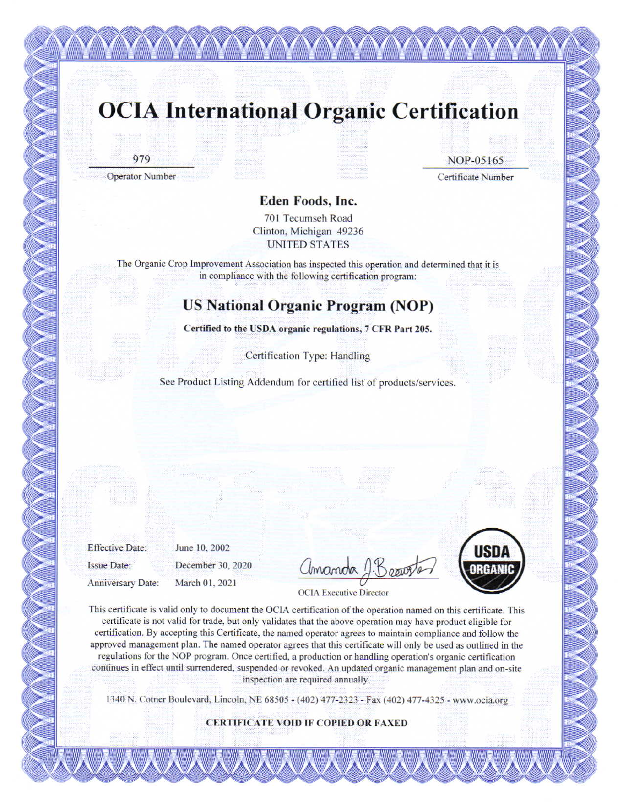### **OCIA International Organic Certification**

<u>The Common Common Common Common Common Common Common Common Common Common Common Common Common Common Common C</u>

979

**Operator Number** 

NOP-05165

Certificate Number

#### Eden Foods, Inc.

701 Tecumseh Road Clinton, Michigan 49236 **UNITED STATES** 

The Organic Crop Improvement Association has inspected this operation and determined that it is in compliance with the following certification program:

### **US National Organic Program (NOP)**

Certified to the USDA organic regulations, 7 CFR Part 205.

Certification Type: Handling

See Product Listing Addendum for certified list of products/services.

**Effective Date: Issue Date:** 

June 10, 2002 December 30, 2020

Anniversary Date:

March 01, 2021



**OCIA** Executive Director

This certificate is valid only to document the OCIA certification of the operation named on this certificate. This certificate is not valid for trade, but only validates that the above operation may have product eligible for certification. By accepting this Certificate, the named operator agrees to maintain compliance and follow the approved management plan. The named operator agrees that this certificate will only be used as outlined in the regulations for the NOP program. Once certified, a production or handling operation's organic certification continues in effect until surrendered, suspended or revoked. An updated organic management plan and on-site inspection are required annually.

1340 N. Cotner Boulevard, Lincoln, NE 68505 - (402) 477-2323 - Fax (402) 477-4325 - www.ocia.org

**CERTIFICATE VOID IF COPIED OR FAXED**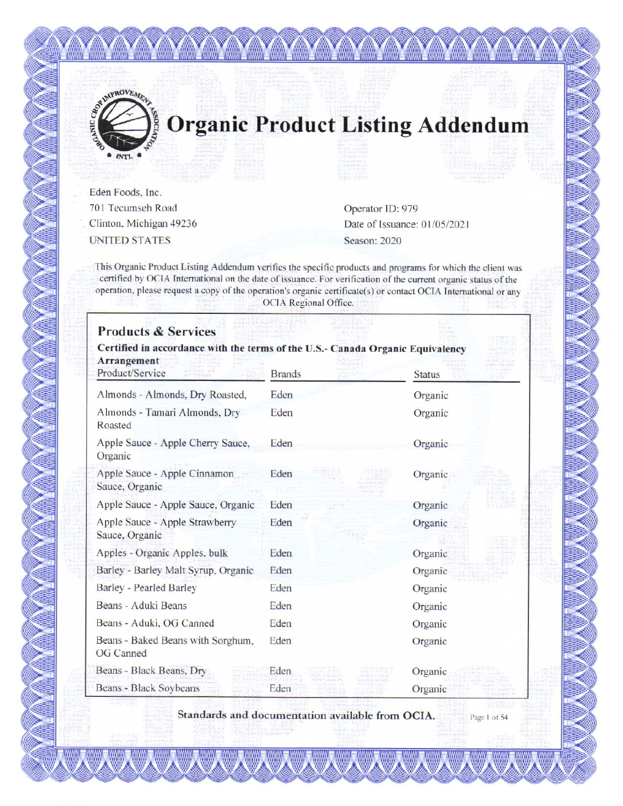

# **Organic Product Listing Addendum**

Eden Foods, Inc. 701 Tecumseh Road Clinton, Michigan 49236 **UNITED STATES** 

OF IMPROVEMENT

 $INTL$ 

Operator ID: 979 Date of Issuance: 01/05/2021 Season: 2020

This Organic Product Listing Addendum verifies the specific products and programs for which the client was certified by OCIA International on the date of issuance. For verification of the current organic status of the operation, please request a copy of the operation's organic certificate(s) or contact OCIA International or any OCIA Regional Office.

| Certified in accordance with the terms of the U.S.- Canada Organic Equivalency<br>Arrangement<br>Product/Service | <b>Brands</b> | <b>Status</b> |
|------------------------------------------------------------------------------------------------------------------|---------------|---------------|
| Almonds - Almonds, Dry Roasted,                                                                                  | Eden          | Organic       |
| Almonds - Tamari Almonds, Dry<br>Roasted                                                                         | Eden          | Organic       |
| Apple Sauce - Apple Cherry Sauce,<br>Organic                                                                     | Eden          | Organic       |
| Apple Sauce - Apple Cinnamon<br>Sauce, Organic                                                                   | Eden          | Organic       |
| Apple Sauce - Apple Sauce, Organic                                                                               | Eden          | Organic       |
| Apple Sauce - Apple Strawberry<br>Sauce, Organic                                                                 | Eden          | Organic       |
| Apples - Organic Apples, bulk                                                                                    | Eden          | Organic       |
| Barley - Barley Malt Syrup, Organic                                                                              | Eden          | Organic       |
| Barley - Pearled Barley                                                                                          | Eden          | Organic       |
| Beans - Aduki Beans                                                                                              | Eden          | Organic       |
| Beans - Aduki, OG Canned                                                                                         | Eden          | Organic       |
| Beans - Baked Beans with Sorghum,<br>OG Canned                                                                   | Eden          | Organic       |
| Beans - Black Beans, Dry                                                                                         | Eden          | Organic       |
| Beans - Black Sovbeans                                                                                           | Eden          | Organic       |

Standards and documentation available from OCIA. Page 1 of 54